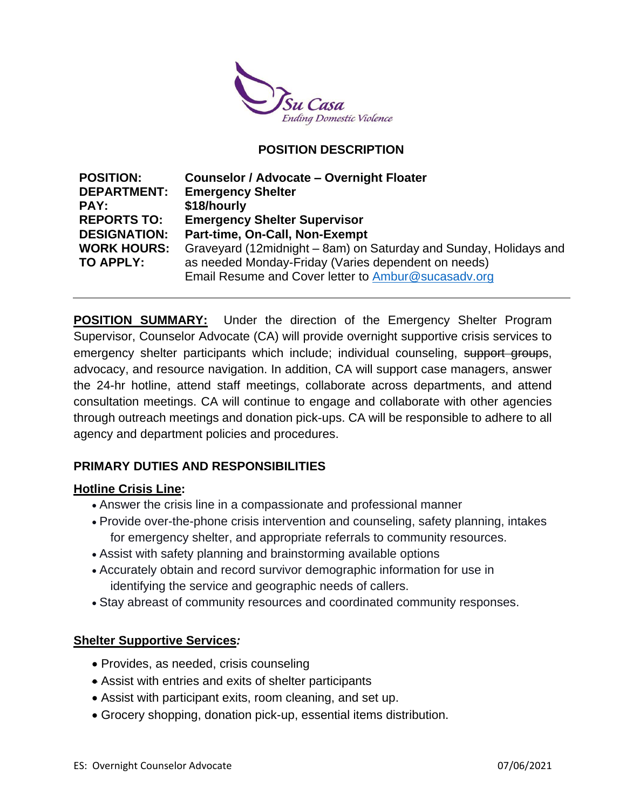

#### **POSITION DESCRIPTION**

| <b>POSITION:</b>    | <b>Counselor / Advocate - Overnight Floater</b>                     |
|---------------------|---------------------------------------------------------------------|
| <b>DEPARTMENT:</b>  | <b>Emergency Shelter</b>                                            |
| PAY:                | \$18/hourly                                                         |
| <b>REPORTS TO:</b>  | <b>Emergency Shelter Supervisor</b>                                 |
| <b>DESIGNATION:</b> | Part-time, On-Call, Non-Exempt                                      |
| <b>WORK HOURS:</b>  | Graveyard (12 midnight – 8 am) on Saturday and Sunday, Holidays and |
| TO APPLY:           | as needed Monday-Friday (Varies dependent on needs)                 |
|                     | Email Resume and Cover letter to Ambur@sucasadv.org                 |

**POSITION SUMMARY:** Under the direction of the Emergency Shelter Program Supervisor, Counselor Advocate (CA) will provide overnight supportive crisis services to emergency shelter participants which include; individual counseling, support groups, advocacy, and resource navigation. In addition, CA will support case managers, answer the 24-hr hotline, attend staff meetings, collaborate across departments, and attend consultation meetings. CA will continue to engage and collaborate with other agencies through outreach meetings and donation pick-ups. CA will be responsible to adhere to all agency and department policies and procedures.

## **PRIMARY DUTIES AND RESPONSIBILITIES**

#### **Hotline Crisis Line:**

- Answer the crisis line in a compassionate and professional manner
- Provide over-the-phone crisis intervention and counseling, safety planning, intakes for emergency shelter, and appropriate referrals to community resources.
- Assist with safety planning and brainstorming available options
- Accurately obtain and record survivor demographic information for use in identifying the service and geographic needs of callers.
- Stay abreast of community resources and coordinated community responses.

#### **Shelter Supportive Services***:*

- Provides, as needed, crisis counseling
- Assist with entries and exits of shelter participants
- Assist with participant exits, room cleaning, and set up.
- Grocery shopping, donation pick-up, essential items distribution.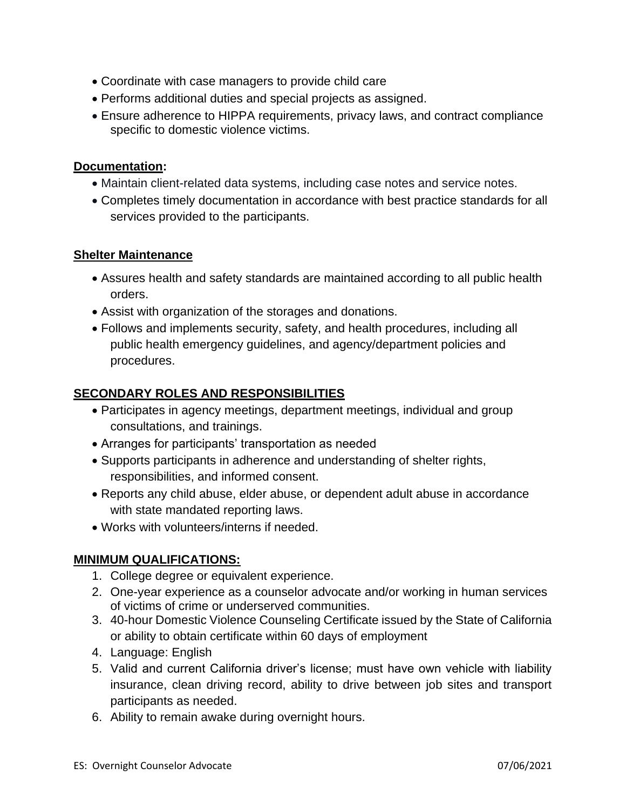- Coordinate with case managers to provide child care
- Performs additional duties and special projects as assigned.
- Ensure adherence to HIPPA requirements, privacy laws, and contract compliance specific to domestic violence victims.

#### **Documentation:**

- Maintain client-related data systems, including case notes and service notes.
- Completes timely documentation in accordance with best practice standards for all services provided to the participants.

### **Shelter Maintenance**

- Assures health and safety standards are maintained according to all public health orders.
- Assist with organization of the storages and donations.
- Follows and implements security, safety, and health procedures, including all public health emergency guidelines, and agency/department policies and procedures.

### **SECONDARY ROLES AND RESPONSIBILITIES**

- Participates in agency meetings, department meetings, individual and group consultations, and trainings.
- Arranges for participants' transportation as needed
- Supports participants in adherence and understanding of shelter rights, responsibilities, and informed consent.
- Reports any child abuse, elder abuse, or dependent adult abuse in accordance with state mandated reporting laws.
- Works with volunteers/interns if needed.

## **MINIMUM QUALIFICATIONS:**

- 1. College degree or equivalent experience.
- 2. One-year experience as a counselor advocate and/or working in human services of victims of crime or underserved communities.
- 3. 40-hour Domestic Violence Counseling Certificate issued by the State of California or ability to obtain certificate within 60 days of employment
- 4. Language: English
- 5. Valid and current California driver's license; must have own vehicle with liability insurance, clean driving record, ability to drive between job sites and transport participants as needed.
- 6. Ability to remain awake during overnight hours.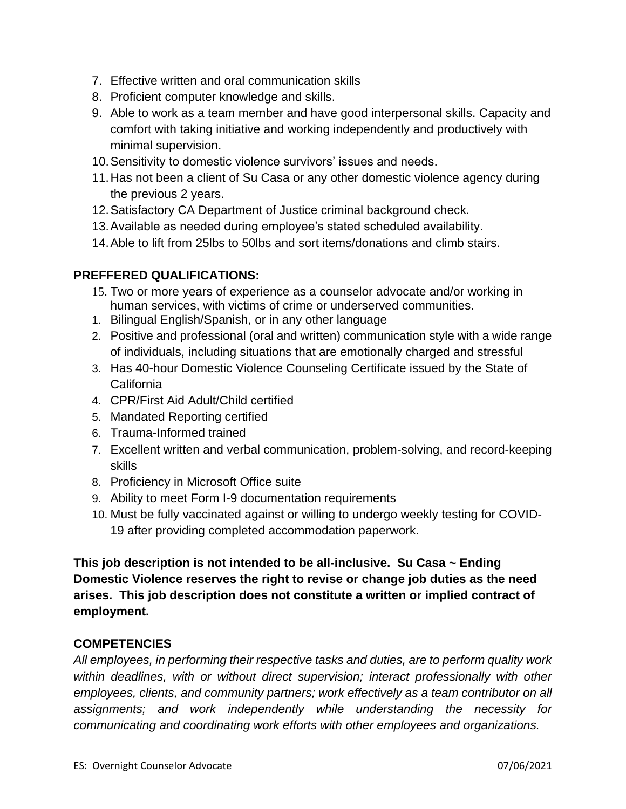- 7. Effective written and oral communication skills
- 8. Proficient computer knowledge and skills.
- 9. Able to work as a team member and have good interpersonal skills. Capacity and comfort with taking initiative and working independently and productively with minimal supervision.
- 10.Sensitivity to domestic violence survivors' issues and needs.
- 11.Has not been a client of Su Casa or any other domestic violence agency during the previous 2 years.
- 12.Satisfactory CA Department of Justice criminal background check.
- 13.Available as needed during employee's stated scheduled availability.
- 14.Able to lift from 25lbs to 50lbs and sort items/donations and climb stairs.

## **PREFFERED QUALIFICATIONS:**

- 15. Two or more years of experience as a counselor advocate and/or working in human services, with victims of crime or underserved communities.
- 1. Bilingual English/Spanish, or in any other language
- 2. Positive and professional (oral and written) communication style with a wide range of individuals, including situations that are emotionally charged and stressful
- 3. Has 40-hour Domestic Violence Counseling Certificate issued by the State of California
- 4. CPR/First Aid Adult/Child certified
- 5. Mandated Reporting certified
- 6. Trauma-Informed trained
- 7. Excellent written and verbal communication, problem-solving, and record-keeping skills
- 8. Proficiency in Microsoft Office suite
- 9. Ability to meet Form I-9 documentation requirements
- 10. Must be fully vaccinated against or willing to undergo weekly testing for COVID-19 after providing completed accommodation paperwork.

**This job description is not intended to be all-inclusive. Su Casa ~ Ending Domestic Violence reserves the right to revise or change job duties as the need arises. This job description does not constitute a written or implied contract of employment.**

## **COMPETENCIES**

*All employees, in performing their respective tasks and duties, are to perform quality work within deadlines, with or without direct supervision; interact professionally with other employees, clients, and community partners; work effectively as a team contributor on all assignments; and work independently while understanding the necessity for communicating and coordinating work efforts with other employees and organizations.*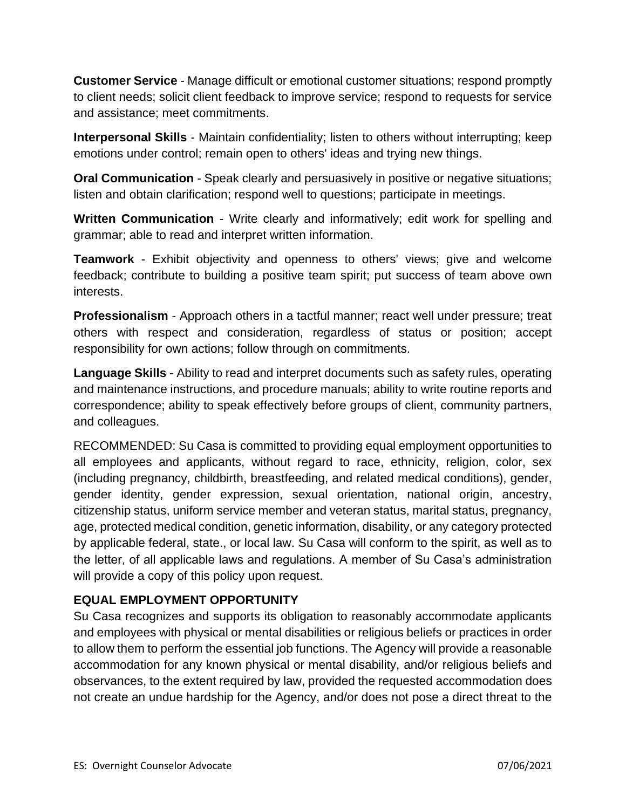**Customer Service** - Manage difficult or emotional customer situations; respond promptly to client needs; solicit client feedback to improve service; respond to requests for service and assistance; meet commitments.

**Interpersonal Skills** - Maintain confidentiality; listen to others without interrupting; keep emotions under control; remain open to others' ideas and trying new things.

**Oral Communication** - Speak clearly and persuasively in positive or negative situations; listen and obtain clarification; respond well to questions; participate in meetings.

**Written Communication** - Write clearly and informatively; edit work for spelling and grammar; able to read and interpret written information.

**Teamwork** - Exhibit objectivity and openness to others' views; give and welcome feedback; contribute to building a positive team spirit; put success of team above own interests.

**Professionalism** - Approach others in a tactful manner; react well under pressure; treat others with respect and consideration, regardless of status or position; accept responsibility for own actions; follow through on commitments.

**Language Skills** - Ability to read and interpret documents such as safety rules, operating and maintenance instructions, and procedure manuals; ability to write routine reports and correspondence; ability to speak effectively before groups of client, community partners, and colleagues.

RECOMMENDED: Su Casa is committed to providing equal employment opportunities to all employees and applicants, without regard to race, ethnicity, religion, color, sex (including pregnancy, childbirth, breastfeeding, and related medical conditions), gender, gender identity, gender expression, sexual orientation, national origin, ancestry, citizenship status, uniform service member and veteran status, marital status, pregnancy, age, protected medical condition, genetic information, disability, or any category protected by applicable federal, state., or local law. Su Casa will conform to the spirit, as well as to the letter, of all applicable laws and regulations. A member of Su Casa's administration will provide a copy of this policy upon request.

# **EQUAL EMPLOYMENT OPPORTUNITY**

Su Casa recognizes and supports its obligation to reasonably accommodate applicants and employees with physical or mental disabilities or religious beliefs or practices in order to allow them to perform the essential job functions. The Agency will provide a reasonable accommodation for any known physical or mental disability, and/or religious beliefs and observances, to the extent required by law, provided the requested accommodation does not create an undue hardship for the Agency, and/or does not pose a direct threat to the